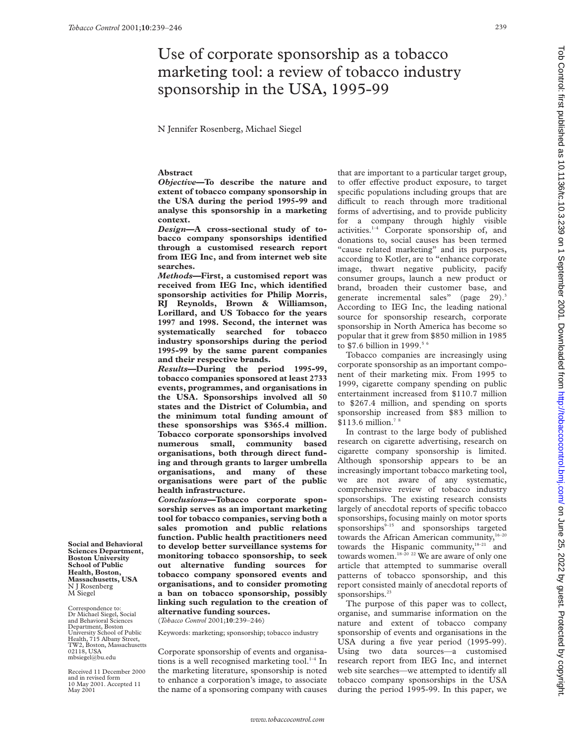# Use of corporate sponsorship as a tobacco marketing tool: a review of tobacco industry sponsorship in the USA, 1995-99

N Jennifer Rosenberg, Michael Siegel

## **Abstract**

*Objective***—To describe the nature and extent of tobacco company sponsorship in the USA during the period 1995-99 and analyse this sponsorship in a marketing context.**

*Design***—A cross-sectional study of tobacco company sponsorships identified through a customised research report from IEG Inc, and from internet web site searches.**

*Methods***—First, a customised report was received from IEG Inc, which identified sponsorship activities for Philip Morris, RJ Reynolds, Brown & Williamson, Lorillard, and US Tobacco for the years 1997 and 1998. Second, the internet was systematically searched for tobacco industry sponsorships during the period 1995-99 by the same parent companies and their respective brands.**

*Results***—During the period 1995-99, tobacco companies sponsored at least 2733 events, programmes, and organisations in the USA. Sponsorships involved all 50 states and the District of Columbia, and the minimum total funding amount of these sponsorships was \$365.4 million. Tobacco corporate sponsorships involved numerous small, community based organisations, both through direct funding and through grants to larger umbrella organisations, and many of these organisations were part of the public health infrastructure.**

*Conclusions***—Tobacco corporate sponsorship serves as an important marketing tool for tobacco companies, serving both a sales promotion and public relations function. Public health practitioners need to develop better surveillance systems for monitoring tobacco sponsorship, to seek out alternative funding sources for tobacco company sponsored events and organisations, and to consider promoting a ban on tobacco sponsorship, possibly linking such regulation to the creation of alternative funding sources.** (*Tobacco Control* 2001;**10**:239–246)

Keywords: marketing; sponsorship; tobacco industry

Corporate sponsorship of events and organisations is a well recognised marketing tool. $1-4$  In the marketing literature, sponsorship is noted to enhance a corporation's image, to associate the name of a sponsoring company with causes

that are important to a particular target group, to offer effective product exposure, to target specific populations including groups that are difficult to reach through more traditional forms of advertising, and to provide publicity for a company through highly visible activities. $1-4$  Corporate sponsorship of, and donations to, social causes has been termed "cause related marketing" and its purposes, according to Kotler, are to "enhance corporate image, thwart negative publicity, pacify consumer groups, launch a new product or brand, broaden their customer base, and generate incremental sales" (page 29).<sup>3</sup> According to IEG Inc, the leading national source for sponsorship research, corporate sponsorship in North America has become so popular that it grew from \$850 million in 1985 to \$7.6 billion in 1999.<sup>56</sup>

Tobacco companies are increasingly using corporate sponsorship as an important component of their marketing mix. From 1995 to 1999, cigarette company spending on public entertainment increased from \$110.7 million to \$267.4 million, and spending on sports sponsorship increased from \$83 million to \$113.6 million.<sup>78</sup>

In contrast to the large body of published research on cigarette advertising, research on cigarette company sponsorship is limited. Although sponsorship appears to be an increasingly important tobacco marketing tool, we are not aware of any systematic, comprehensive review of tobacco industry sponsorships. The existing research consists largely of anecdotal reports of specific tobacco sponsorships, focusing mainly on motor sports sponsorships $9-15$  and sponsorships targeted towards the African American community, $16-20$ towards the Hispanic community,<sup>18-21</sup> and towards women.<sup>18-20</sup> <sup>22</sup> We are aware of only one article that attempted to summarise overall patterns of tobacco sponsorship, and this report consisted mainly of anecdotal reports of sponsorships.<sup>23</sup>

The purpose of this paper was to collect, organise, and summarise information on the nature and extent of tobacco company sponsorship of events and organisations in the USA during a five year period (1995-99). Using two data sources—a customised research report from IEG Inc, and internet web site searches—we attempted to identify all tobacco company sponsorships in the USA during the period 1995-99. In this paper, we

**Social and Behavioral Sciences Department, Boston University School of Public Health, Boston, Massachusetts, USA** N J Rosenberg M Siegel

Correspondence to: Dr Michael Siegel, Social and Behavioral Sciences Department, Boston University School of Public Health, 715 Albany Street, TW2, Boston, Massachusetts 02118, USA mbsiegel@bu.edu

Received 11 December 2000 and in revised form 10 May 2001. Accepted 11 May 2001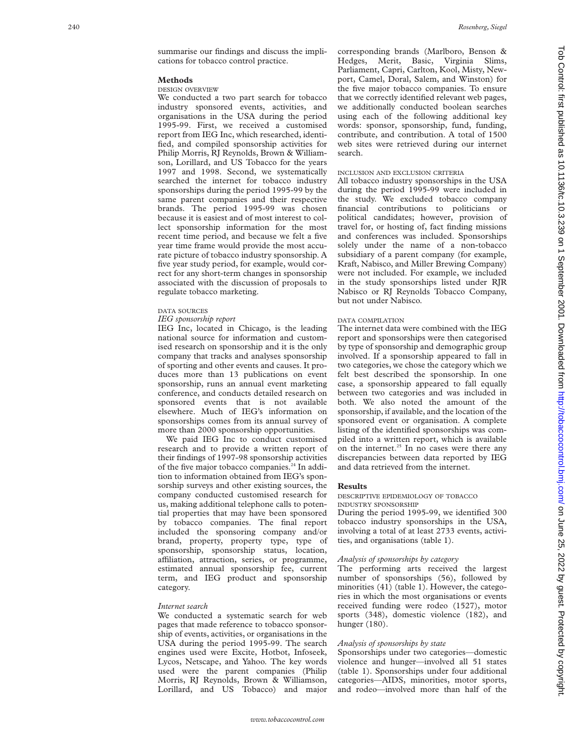summarise our findings and discuss the implications for tobacco control practice.

#### **Methods**

## DESIGN OVERVIEW

We conducted a two part search for tobacco industry sponsored events, activities, and organisations in the USA during the period 1995-99. First, we received a customised report from IEG Inc, which researched, identified, and compiled sponsorship activities for Philip Morris, RJ Reynolds, Brown & Williamson, Lorillard, and US Tobacco for the years 1997 and 1998. Second, we systematically searched the internet for tobacco industry sponsorships during the period 1995-99 by the same parent companies and their respective brands. The period 1995-99 was chosen because it is easiest and of most interest to collect sponsorship information for the most recent time period, and because we felt a five year time frame would provide the most accurate picture of tobacco industry sponsorship. A five year study period, for example, would correct for any short-term changes in sponsorship associated with the discussion of proposals to regulate tobacco marketing.

#### DATA SOURCES

#### *IEG sponsorship report*

IEG Inc, located in Chicago, is the leading national source for information and customised research on sponsorship and it is the only company that tracks and analyses sponsorship of sporting and other events and causes. It produces more than 13 publications on event sponsorship, runs an annual event marketing conference, and conducts detailed research on sponsored events that is not available elsewhere. Much of IEG's information on sponsorships comes from its annual survey of more than 2000 sponsorship opportunities.

We paid IEG Inc to conduct customised research and to provide a written report of their findings of 1997-98 sponsorship activities of the five major tobacco companies.<sup>24</sup> In addition to information obtained from IEG's sponsorship surveys and other existing sources, the company conducted customised research for us, making additional telephone calls to potential properties that may have been sponsored by tobacco companies. The final report included the sponsoring company and/or brand, property, property type, type of sponsorship, sponsorship status, location, affiliation, attraction, series, or programme, estimated annual sponsorship fee, current term, and IEG product and sponsorship category.

#### *Internet search*

We conducted a systematic search for web pages that made reference to tobacco sponsorship of events, activities, or organisations in the USA during the period 1995-99. The search engines used were Excite, Hotbot, Infoseek, Lycos, Netscape, and Yahoo. The key words used were the parent companies (Philip Morris, RJ Reynolds, Brown & Williamson, Lorillard, and US Tobacco) and major corresponding brands (Marlboro, Benson & Hedges, Merit, Basic, Virginia Slims, Parliament, Capri, Carlton, Kool, Misty, Newport, Camel, Doral, Salem, and Winston) for the five major tobacco companies. To ensure that we correctly identified relevant web pages, we additionally conducted boolean searches using each of the following additional key words: sponsor, sponsorship, fund, funding, contribute, and contribution. A total of 1500 web sites were retrieved during our internet search.

## INCLUSION AND EXCLUSION CRITERIA

All tobacco industry sponsorships in the USA during the period 1995-99 were included in the study. We excluded tobacco company financial contributions to politicians or political candidates; however, provision of travel for, or hosting of, fact finding missions and conferences was included. Sponsorships solely under the name of a non-tobacco subsidiary of a parent company (for example, Kraft, Nabisco, and Miller Brewing Company) were not included. For example, we included in the study sponsorships listed under RJR Nabisco or RJ Reynolds Tobacco Company, but not under Nabisco.

#### DATA COMPILATION

The internet data were combined with the IEG report and sponsorships were then categorised by type of sponsorship and demographic group involved. If a sponsorship appeared to fall in two categories, we chose the category which we felt best described the sponsorship. In one case, a sponsorship appeared to fall equally between two categories and was included in both. We also noted the amount of the sponsorship, if available, and the location of the sponsored event or organisation. A complete listing of the identified sponsorships was compiled into a written report, which is available on the internet. $25$  In no cases were there any discrepancies between data reported by IEG and data retrieved from the internet.

## **Results**

#### DESCRIPTIVE EPIDEMIOLOGY OF TOBACCO INDUSTRY SPONSORSHIP

During the period 1995-99, we identified 300 tobacco industry sponsorships in the USA, involving a total of at least 2733 events, activities, and organisations (table 1).

### *Analysis of sponsorships by category*

The performing arts received the largest number of sponsorships (56), followed by minorities (41) (table 1). However, the categories in which the most organisations or events received funding were rodeo (1527), motor sports (348), domestic violence (182), and hunger (180).

## *Analysis of sponsorships by state*

Sponsorships under two categories—domestic violence and hunger—involved all 51 states (table 1). Sponsorships under four additional categories—AIDS, minorities, motor sports, and rodeo—involved more than half of the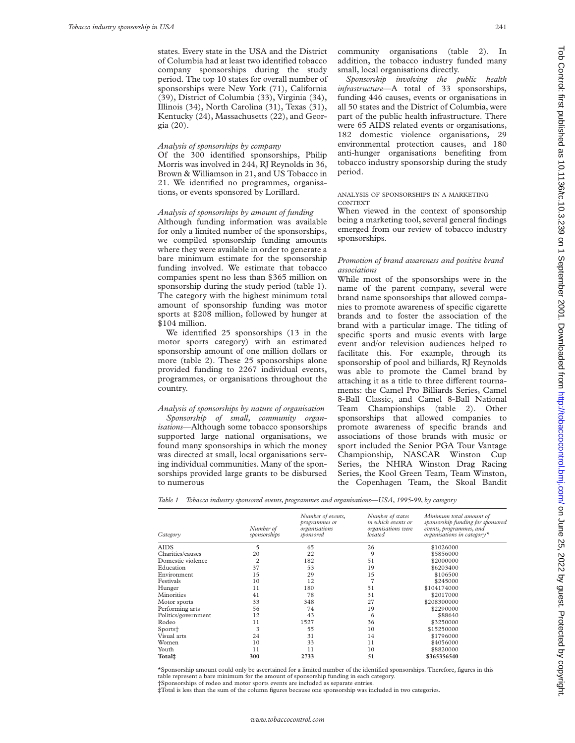states. Every state in the USA and the District of Columbia had at least two identified tobacco company sponsorships during the study period. The top 10 states for overall number of sponsorships were New York (71), California (39), District of Columbia (33), Virginia (34), Illinois (34), North Carolina (31), Texas (31), Kentucky (24), Massachusetts (22), and Georgia (20).

### *Analysis of sponsorships by company*

Of the 300 identified sponsorships, Philip Morris was involved in 244, RJ Reynolds in 36, Brown & Williamson in 21, and US Tobacco in 21. We identified no programmes, organisations, or events sponsored by Lorillard.

#### *Analysis of sponsorships by amount of funding*

Although funding information was available for only a limited number of the sponsorships, we compiled sponsorship funding amounts where they were available in order to generate a bare minimum estimate for the sponsorship funding involved. We estimate that tobacco companies spent no less than \$365 million on sponsorship during the study period (table 1). The category with the highest minimum total amount of sponsorship funding was motor sports at \$208 million, followed by hunger at \$104 million.

We identified 25 sponsorships (13 in the motor sports category) with an estimated sponsorship amount of one million dollars or more (table 2). These 25 sponsorships alone provided funding to 2267 individual events, programmes, or organisations throughout the country.

### *Analysis of sponsorships by nature of organisation*

*Sponsorship of small, community organisations*—Although some tobacco sponsorships supported large national organisations, we found many sponsorships in which the money was directed at small, local organisations serving individual communities. Many of the sponsorships provided large grants to be disbursed to numerous

community organisations (table 2). In addition, the tobacco industry funded many small, local organisations directly.

*Sponsorship involving the public health infrastructure*—A total of 33 sponsorships, funding 446 causes, events or organisations in all 50 states and the District of Columbia, were part of the public health infrastructure. There were 65 AIDS related events or organisations, 182 domestic violence organisations, 29 environmental protection causes, and 180 anti-hunger organisations benefiting from tobacco industry sponsorship during the study period.

### ANALYSIS OF SPONSORSHIPS IN A MARKETING CONTEXT

When viewed in the context of sponsorship being a marketing tool, several general findings emerged from our review of tobacco industry sponsorships.

## *Promotion of brand awareness and positive brand associations*

While most of the sponsorships were in the name of the parent company, several were brand name sponsorships that allowed companies to promote awareness of specific cigarette brands and to foster the association of the brand with a particular image. The titling of specific sports and music events with large event and/or television audiences helped to facilitate this. For example, through its sponsorship of pool and billiards, RJ Reynolds was able to promote the Camel brand by attaching it as a title to three different tournaments: the Camel Pro Billiards Series, Camel 8-Ball Classic, and Camel 8-Ball National Team Championships (table 2). Other sponsorships that allowed companies to promote awareness of specific brands and associations of those brands with music or sport included the Senior PGA Tour Vantage Championship, NASCAR Winston Cup Series, the NHRA Winston Drag Racing Series, the Kool Green Team, Team Winston, the Copenhagen Team, the Skoal Bandit

|  |  |  | Table 1 Tobacco industry sponsored events, programmes and organisations—USA, 1995-99, by category |
|--|--|--|---------------------------------------------------------------------------------------------------|
|  |  |  |                                                                                                   |

| Category            | Number of<br>sponsorships | Number of events,<br>programmes or<br>organisations<br>sponsored | Number of states<br>in which events or<br><i>organisations</i> were<br>located | Minimum total amount of<br>sponsorship funding for sponsored<br>events, programmes, and<br>organisations in category* |
|---------------------|---------------------------|------------------------------------------------------------------|--------------------------------------------------------------------------------|-----------------------------------------------------------------------------------------------------------------------|
| <b>AIDS</b>         | 5                         | 65                                                               | 26                                                                             | \$1026000                                                                                                             |
| Charities/causes    | 20                        | 22                                                               | 9                                                                              | \$5856000                                                                                                             |
| Domestic violence   | 2                         | 182                                                              | 51                                                                             | \$2000000                                                                                                             |
| Education           | 37                        | 53                                                               | 19                                                                             | \$6203400                                                                                                             |
| Environment         | 15                        | 29                                                               | 15                                                                             | \$106500                                                                                                              |
| Festivals           | 10                        | 12                                                               | 7                                                                              | \$245000                                                                                                              |
| Hunger              | 11                        | 180                                                              | 51                                                                             | \$104174000                                                                                                           |
| Minorities          | 41                        | 78                                                               | 31                                                                             | \$2017000                                                                                                             |
| Motor sports        | 33                        | 348                                                              | 27                                                                             | \$208300000                                                                                                           |
| Performing arts     | 56                        | 74                                                               | 19                                                                             | \$2290000                                                                                                             |
| Politics/government | 12                        | 43                                                               | 6                                                                              | \$88640                                                                                                               |
| Rodeo               | 11                        | 1527                                                             | 36                                                                             | \$3250000                                                                                                             |
| Sports <sup>+</sup> | 3                         | 55                                                               | 10                                                                             | \$15250000                                                                                                            |
| Visual arts         | 24                        | 31                                                               | 14                                                                             | \$1796000                                                                                                             |
| Women               | 10                        | 33                                                               | 11                                                                             | \$4056000                                                                                                             |
| Youth               | 11                        | 11                                                               | 10                                                                             | \$8820000                                                                                                             |
| Total‡              | 300                       | 2733                                                             | 51                                                                             | \$365356540                                                                                                           |

\*Sponsorship amount could only be ascertained for a limited number of the identified sponsorships. Therefore, figures in this table represent a bare minimum for the amount of sponsorship funding in each category.

†Sponsorships of rodeo and motor sports events are included as separate entries.

‡Total is less than the sum of the column figures because one sponsorship was included in two categories.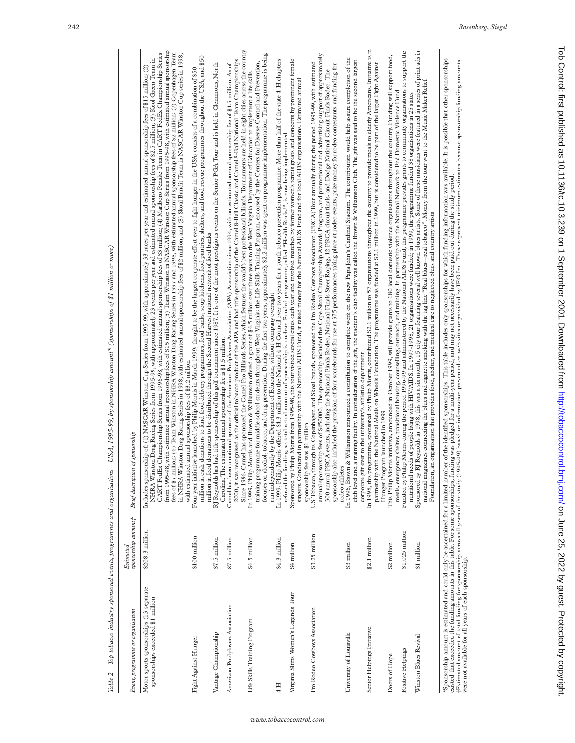| Event, programme or organisation                                            | sponsorship amount†<br>Estimated | of sponsorship<br>Brief description                                                                                                                                                                                                                                                                                                                                                                                                                                                                                                                                                                                                                                                                                                                                                                                                                                                                                                                                                                                                                                                               |
|-----------------------------------------------------------------------------|----------------------------------|---------------------------------------------------------------------------------------------------------------------------------------------------------------------------------------------------------------------------------------------------------------------------------------------------------------------------------------------------------------------------------------------------------------------------------------------------------------------------------------------------------------------------------------------------------------------------------------------------------------------------------------------------------------------------------------------------------------------------------------------------------------------------------------------------------------------------------------------------------------------------------------------------------------------------------------------------------------------------------------------------------------------------------------------------------------------------------------------------|
| Motor sports sponsorships (13 separate<br>sponsorships exceeded \$1 million | \$208.3 million                  | from 1995-98, with estimated annual sponsorship fees of \$15 million; (5) Team Winston in NASCAR Winston Cup Series from 1995-98, with estimated annual sponsorship<br>fees of \$7 million; (6) Team Winston in NHRA Winston Drag Racing Series in 1997 and 1998, with estimated annual sponsorship fees of \$2 million; (7) Copenhagen Team<br>CART FedEx Championship Series from 1996-98, with estimated annual sponsorship fees of \$3 million; (4) Marlboro Penske Team in CART FedEx Championship Series<br>in NHRA Winston Drag Racing Series in 1998, with estimated annual sponsorship fees of \$2 million; and (8) Skoal Bandit Team in NASCAR Winston Cup series in 1998,<br>NHRA Winston Drag Racing Series from 1995-99, with approximately 23 events per year and estimated annual sponsorship fees of \$2.5 million; (3) Kool Green Team in<br>rship of: (1) NASCAR Winston Cup Series from 1995-99, with approximately 33 races per year and estimated annual sponsorship fees of \$15 million; (2)<br>with estimated annual sponsorship fees of \$3.2 million<br>Includes sponso |
| Fight Against Hunger                                                        | \$100 million                    | million in cash donations to fund food delivery programmes, food banks, soup kitchens, food pantries, shelters, and food rescue programmes throughout the USA, and \$50<br>Four year initiative launched by Philip Morris in March 1999; thought to be the largest corporate effort ever to fight hunger in the USA; consists of a combination of \$50<br>million in food donations to be distributed through the Second Harvest national network of food banks                                                                                                                                                                                                                                                                                                                                                                                                                                                                                                                                                                                                                                   |
| Vantage Championship                                                        | $$7.5$ million                   | RJ Reynolds has had title sponsorship of this golf tournament since 1987. It is one of the most prestigious events on the Senior PGA Tour and is held in Clemmons, North<br>Carolina. The estimated annual sponsorship fee is \$1.5 million.                                                                                                                                                                                                                                                                                                                                                                                                                                                                                                                                                                                                                                                                                                                                                                                                                                                      |
| American Poolplayers Association                                            | $$7.5$ million                   | Since 1996, Camel has sponsored the Camel Pro Billiards Series, which features the world's best professional billiards. Tournaments are held in eight cities across the country<br>2000, it was recognised as the official tobacco product of the APA and had title sponsorship of the Camel & Ball Classic and Camel & Ball National Team Championships.<br>a national sponsor of the American Poolplayers Association (APA) Association since 1994, with an estimated annual sponsorship fee of \$1.5 million. As of<br>Camel has been                                                                                                                                                                                                                                                                                                                                                                                                                                                                                                                                                          |
| Life Skills Training Program                                                | $$4.5$ million                   | focuses on alcohol, tobacco, and drug prevention. During the first two years, approximately \$2.2 million was spent on programme implementation. The programme is being<br>training programme for middle school students throughout West Virginia; the Life Skills Training Program, endorsed by the Centers for Disease Control and Prevention,<br>In 1999, Philip Morris and Brown & Williamson offered a grant of \$4.5 million over three years to the West Virginia Department of Education to implement a life skills<br>run independently by the Department of Education, without company oversight                                                                                                                                                                                                                                                                                                                                                                                                                                                                                        |
| H-4                                                                         | \$4.3 million                    | In 1999, Philip Morris offered \$4.3 million to the National 4-H Council over two years for a youth tobacco prevention programme. More than half of the state 4-H chapters<br>refused the funding, so total actual amount of sponsorship is unclear. Funded programme, called "Health Rocks!", is now being implemented                                                                                                                                                                                                                                                                                                                                                                                                                                                                                                                                                                                                                                                                                                                                                                           |
| Virginia Slims Women's Legends Tour                                         | \$4 million                      | Sponsored by Philip Morris from 1995-98, this tour visited several cities each year and involved matches by former women's tennis greats and concerts by prominent female<br>singers. Conducted in partnership with the National<br>sponsorship fee was \$1 million                                                                                                                                                                                                                                                                                                                                                                                                                                                                                                                                                                                                                                                                                                                                                                                                                               |
| Pro Rodeo Cowboys Association                                               | \$3.25 million                   | annual sponsorship fees of \$650000. The sponsorship included the Cope Skoal Championship Awards Program, and promotional and advertising support of approximately<br>US Tobacco, through its Copenhagen and Skoal brands, sponsored the Pro Rodeo Cowboys Association (PRCA) Tour annually during the period 1995-99, with estimated<br>sponsorship also included the provision of four scoreboards for use at 375 performances taking place at rodeo events, prize money for rodeo contestants, and funding for<br>300 annual PRCA events, including the National Finals Rodeo, National Finals Steer Roping, 12 PRCA circuit finals, and Dodge National Circuit Finals Rodeo. The<br>rodeo athletes                                                                                                                                                                                                                                                                                                                                                                                            |
| University of Louisville                                                    | \$3 million                      | & Williamson announced a contribution to complete work on the new Papa John's Cardinal Stadium. The contribution would help assure completion of the<br>a training facility. In consideration of the gift, the stadium's club facility was called the Brown & Williamson Club. The gift was said to be the second largest<br>ever to the university's athletics department<br>In 1996, Brown<br>club level and<br>corporate gift                                                                                                                                                                                                                                                                                                                                                                                                                                                                                                                                                                                                                                                                  |
| Senior Helpings Initiative                                                  | \$2.1 million                    | ogramme, sponsored by Philip Morris, contributed \$2.1 million to 57 organisations throughout the country to provide meals to elderly Americans. Initiative is in<br>partnership with the National Meals on Wheels Foundation. The programme was funded at \$2.1 million in 1999, but is considered to be part of the larger Fight Against<br>Hunger Program launched in 1999<br>In 1998, this pro                                                                                                                                                                                                                                                                                                                                                                                                                                                                                                                                                                                                                                                                                                |
| Doors of Hope                                                               | \$2 million                      | This Philip Morris initiative, announced in October 1999, will provide grants to 180 local domestic violence organisations throughout the country. Funding will support food,<br>meals, emergency shelter, transitional housing, counselling, outreach, and training. In partnership with the National Network to End Domestic Violence Fund                                                                                                                                                                                                                                                                                                                                                                                                                                                                                                                                                                                                                                                                                                                                                      |
| Positive Helpings                                                           | \$1.025 million                  | Funded by Philip Morris during the period 1996-99 and administered by the National AIDS Fund, this programme provides grants to community organisations to support the<br>nutritional needs of people living with HIV/AIDS. In 1997-1998, 21 organisations were funded; in 1999, the programme funded 38 organisations in 25 states                                                                                                                                                                                                                                                                                                                                                                                                                                                                                                                                                                                                                                                                                                                                                               |
| Winston Blues Revival                                                       | \$1 million                      | Sponsored by RJ Reynolds in 1998, this was a six month, 15 city tour featuring several well known blues artists. Some of these musicians were featured in a series of print ads in<br>national magazines connecting the blues and cigarette smoking with the tag line "Real blues—real tobaco". Money from the tour went to the Music Maker Relief<br>Foundation, an organisation that provides food, shelter, and medical care to neglected blues and country artists                                                                                                                                                                                                                                                                                                                                                                                                                                                                                                                                                                                                                            |

Table 2 – Top tobacco industry sponsored events, programmes and organisations—USA, 1995-99, by sponsorship amount\* (sponsorships of \$1 million or more) Table 2 Top tobacco industry sponsored events, programmes and organisations—USA, 1995-99, by sponsorship amount\* (sponsorships of \$1 million or more)

\*Sponsorship amount is estimated and could only be ascertained for a limited number of the identified sponsorships. This table includes only sponsorships for which funding information was available. It is possible that oth \*Sponsorship amount is estimated and could only be ascertained for a limited number of the identified sponsorships. This table includes only sponsorships for which funding information was available. It is possible that oth FEstimated amount of total funding for sponsorship across all years of the strated (1995-99) based on information presented on web sites or provided by IEG Inc. These represent minimum estimates because sponsorship funding existed that exceeded the funding amounts in this table. For some sponsorships, funding was pledged for a multi-year period, and may not necessarily have been paid out during the study period. were not available for all years of each sponsorship.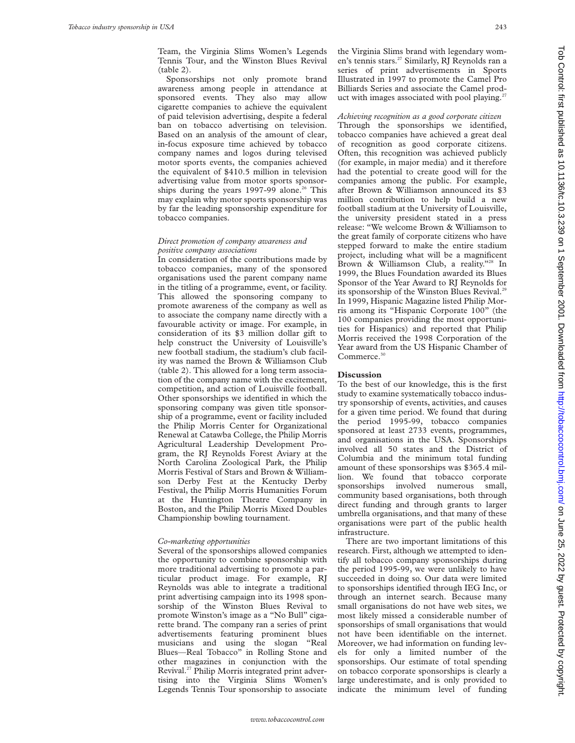http://tobaca/by sourced as 10: 2022 by guest. Publishight. Domagnizhed from the 20 september 2012 by guest. Published is a 2022 by guest. Published is a 10: 1136/tc.10.3239 on 1 September 2012. Domagnizhed is a 2022 by gu Tob Control: first published as 10.1136/tc.10.3.239 on 1 September 2001. Downloaded from http://tobaccocontrol.bmj.com/ on June 25, 2022 by guest. Protected by copyright

Team, the Virginia Slims Women's Legends Tennis Tour, and the Winston Blues Revival (table 2).

Sponsorships not only promote brand awareness among people in attendance at sponsored events. They also may allow cigarette companies to achieve the equivalent of paid television advertising, despite a federal ban on tobacco advertising on television. Based on an analysis of the amount of clear, in-focus exposure time achieved by tobacco company names and logos during televised motor sports events, the companies achieved the equivalent of \$410.5 million in television advertising value from motor sports sponsorships during the years 1997-99 alone.<sup>26</sup> This may explain why motor sports sponsorship was by far the leading sponsorship expenditure for tobacco companies.

## *Direct promotion of company awareness and positive company associations*

In consideration of the contributions made by tobacco companies, many of the sponsored organisations used the parent company name in the titling of a programme, event, or facility. This allowed the sponsoring company to promote awareness of the company as well as to associate the company name directly with a favourable activity or image. For example, in consideration of its \$3 million dollar gift to help construct the University of Louisville's new football stadium, the stadium's club facility was named the Brown & Williamson Club (table 2). This allowed for a long term association of the company name with the excitement, competition, and action of Louisville football. Other sponsorships we identified in which the sponsoring company was given title sponsorship of a programme, event or facility included the Philip Morris Center for Organizational Renewal at Catawba College, the Philip Morris Agricultural Leadership Development Program, the RJ Reynolds Forest Aviary at the North Carolina Zoological Park, the Philip Morris Festival of Stars and Brown & Williamson Derby Fest at the Kentucky Derby Festival, the Philip Morris Humanities Forum at the Huntington Theatre Company in Boston, and the Philip Morris Mixed Doubles Championship bowling tournament.

## *Co-marketing opportunities*

Several of the sponsorships allowed companies the opportunity to combine sponsorship with more traditional advertising to promote a particular product image. For example, RJ Reynolds was able to integrate a traditional print advertising campaign into its 1998 sponsorship of the Winston Blues Revival to promote Winston's image as a "No Bull" cigarette brand. The company ran a series of print advertisements featuring prominent blues musicians and using the slogan "Real Blues—Real Tobacco" in Rolling Stone and other magazines in conjunction with the Revival.27 Philip Morris integrated print advertising into the Virginia Slims Women's Legends Tennis Tour sponsorship to associate

the Virginia Slims brand with legendary women's tennis stars.<sup>27</sup> Similarly, RJ Reynolds ran a series of print advertisements in Sports Illustrated in 1997 to promote the Camel Pro Billiards Series and associate the Camel product with images associated with pool playing.<sup>27</sup>

## *Achieving recognition as a good corporate citizen*

Through the sponsorships we identified, tobacco companies have achieved a great deal of recognition as good corporate citizens. Often, this recognition was achieved publicly (for example, in major media) and it therefore had the potential to create good will for the companies among the public. For example, after Brown & Williamson announced its \$3 million contribution to help build a new football stadium at the University of Louisville, the university president stated in a press release: "We welcome Brown & Williamson to the great family of corporate citizens who have stepped forward to make the entire stadium project, including what will be a magnificent Brown & Williamson Club, a reality."28 In 1999, the Blues Foundation awarded its Blues Sponsor of the Year Award to RJ Reynolds for its sponsorship of the Winston Blues Revival.<sup>2</sup> In 1999, Hispanic Magazine listed Philip Morris among its "Hispanic Corporate 100" (the 100 companies providing the most opportunities for Hispanics) and reported that Philip Morris received the 1998 Corporation of the Year award from the US Hispanic Chamber of Commerce.<sup>30</sup>

#### **Discussion**

To the best of our knowledge, this is the first study to examine systematically tobacco industry sponsorship of events, activities, and causes for a given time period. We found that during the period 1995-99, tobacco companies sponsored at least 2733 events, programmes, and organisations in the USA. Sponsorships involved all 50 states and the District of Columbia and the minimum total funding amount of these sponsorships was \$365.4 million. We found that tobacco corporate sponsorships involved numerous small, community based organisations, both through direct funding and through grants to larger umbrella organisations, and that many of these organisations were part of the public health infrastructure.

There are two important limitations of this research. First, although we attempted to identify all tobacco company sponsorships during the period 1995-99, we were unlikely to have succeeded in doing so. Our data were limited to sponsorships identified through IEG Inc, or through an internet search. Because many small organisations do not have web sites, we most likely missed a considerable number of sponsorships of small organisations that would not have been identifiable on the internet. Moreover, we had information on funding levels for only a limited number of the sponsorships. Our estimate of total spending on tobacco corporate sponsorships is clearly a large underestimate, and is only provided to indicate the minimum level of funding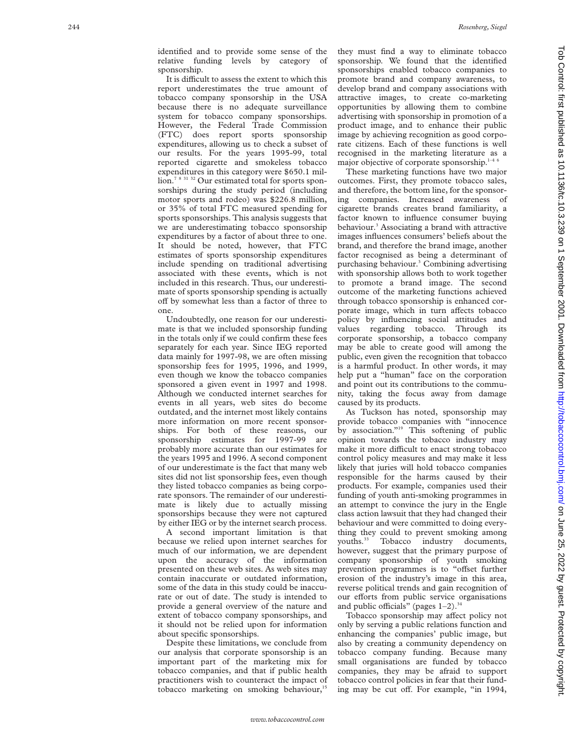identified and to provide some sense of the relative funding levels by category of sponsorship.

It is difficult to assess the extent to which this report underestimates the true amount of tobacco company sponsorship in the USA because there is no adequate surveillance system for tobacco company sponsorships. However, the Federal Trade Commission (FTC) does report sports sponsorship expenditures, allowing us to check a subset of our results. For the years 1995-99, total reported cigarette and smokeless tobacco expenditures in this category were \$650.1 million.7 8 31 32 Our estimated total for sports sponsorships during the study period (including motor sports and rodeo) was \$226.8 million, or 35% of total FTC measured spending for sports sponsorships. This analysis suggests that we are underestimating tobacco sponsorship expenditures by a factor of about three to one. It should be noted, however, that FTC estimates of sports sponsorship expenditures include spending on traditional advertising associated with these events, which is not included in this research. Thus, our underestimate of sports sponsorship spending is actually off by somewhat less than a factor of three to one.

Undoubtedly, one reason for our underestimate is that we included sponsorship funding in the totals only if we could confirm these fees separately for each year. Since IEG reported data mainly for 1997-98, we are often missing sponsorship fees for 1995, 1996, and 1999, even though we know the tobacco companies sponsored a given event in 1997 and 1998. Although we conducted internet searches for events in all years, web sites do become outdated, and the internet most likely contains more information on more recent sponsorships. For both of these reasons, our sponsorship estimates for 1997-99 are probably more accurate than our estimates for the years 1995 and 1996. A second component of our underestimate is the fact that many web sites did not list sponsorship fees, even though they listed tobacco companies as being corporate sponsors. The remainder of our underestimate is likely due to actually missing sponsorships because they were not captured by either IEG or by the internet search process.

A second important limitation is that because we relied upon internet searches for much of our information, we are dependent upon the accuracy of the information presented on these web sites. As web sites may contain inaccurate or outdated information, some of the data in this study could be inaccurate or out of date. The study is intended to provide a general overview of the nature and extent of tobacco company sponsorships, and it should not be relied upon for information about specific sponsorships.

Despite these limitations, we conclude from our analysis that corporate sponsorship is an important part of the marketing mix for tobacco companies, and that if public health practitioners wish to counteract the impact of tobacco marketing on smoking behaviour,<sup>15</sup>

they must find a way to eliminate tobacco sponsorship. We found that the identified sponsorships enabled tobacco companies to promote brand and company awareness, to develop brand and company associations with attractive images, to create co-marketing opportunities by allowing them to combine advertising with sponsorship in promotion of a product image, and to enhance their public image by achieving recognition as good corporate citizens. Each of these functions is well recognised in the marketing literature as a major objective of corporate sponsorship.<sup>1-4 6</sup>

These marketing functions have two major outcomes. First, they promote tobacco sales, and therefore, the bottom line, for the sponsoring companies. Increased awareness of cigarette brands creates brand familiarity, a factor known to influence consumer buying behaviour. <sup>3</sup> Associating a brand with attractive images influences consumers' beliefs about the brand, and therefore the brand image, another factor recognised as being a determinant of purchasing behaviour. <sup>3</sup> Combining advertising with sponsorship allows both to work together to promote a brand image. The second outcome of the marketing functions achieved through tobacco sponsorship is enhanced corporate image, which in turn affects tobacco policy by influencing social attitudes and values regarding tobacco. Through its corporate sponsorship, a tobacco company may be able to create good will among the public, even given the recognition that tobacco is a harmful product. In other words, it may help put a "human" face on the corporation and point out its contributions to the community, taking the focus away from damage caused by its products.

As Tuckson has noted, sponsorship may provide tobacco companies with "innocence by association."19 This softening of public opinion towards the tobacco industry may make it more difficult to enact strong tobacco control policy measures and may make it less likely that juries will hold tobacco companies responsible for the harms caused by their products. For example, companies used their funding of youth anti-smoking programmes in an attempt to convince the jury in the Engle class action lawsuit that they had changed their behaviour and were committed to doing everything they could to prevent smoking among youths.<sup>33</sup> Tobacco industry documents, however, suggest that the primary purpose of company sponsorship of youth smoking prevention programmes is to "offset further erosion of the industry's image in this area, reverse political trends and gain recognition of our efforts from public service organisations and public officials" (pages  $1-2$ ).<sup>34</sup>

Tobacco sponsorship may affect policy not only by serving a public relations function and enhancing the companies' public image, but also by creating a community dependency on tobacco company funding. Because many small organisations are funded by tobacco companies, they may be afraid to support tobacco control policies in fear that their funding may be cut off. For example, "in 1994,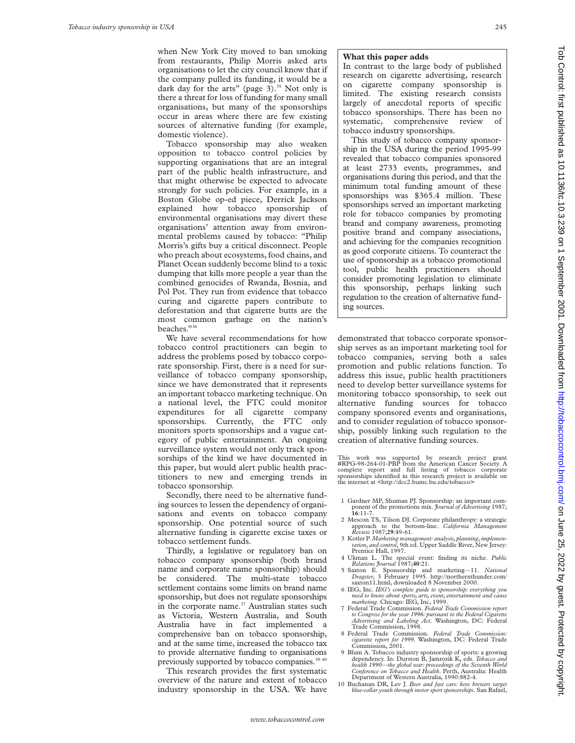when New York City moved to ban smoking from restaurants, Philip Morris asked arts organisations to let the city council know that if the company pulled its funding, it would be a dark day for the arts" (page  $3$ ).<sup>35</sup> Not only is there a threat for loss of funding for many small organisations, but many of the sponsorships occur in areas where there are few existing sources of alternative funding (for example, domestic violence).

Tobacco sponsorship may also weaken opposition to tobacco control policies by supporting organisations that are an integral part of the public health infrastructure, and that might otherwise be expected to advocate strongly for such policies. For example, in a Boston Globe op-ed piece, Derrick Jackson explained how tobacco sponsorship of environmental organisations may divert these organisations' attention away from environmental problems caused by tobacco: "Philip Morris's gifts buy a critical disconnect. People who preach about ecosystems, food chains, and Planet Ocean suddenly become blind to a toxic dumping that kills more people a year than the combined genocides of Rwanda, Bosnia, and Pol Pot. They run from evidence that tobacco curing and cigarette papers contribute to deforestation and that cigarette butts are the most common garbage on the nation's beaches."36

We have several recommendations for how tobacco control practitioners can begin to address the problems posed by tobacco corporate sponsorship. First, there is a need for surveillance of tobacco company sponsorship, since we have demonstrated that it represents an important tobacco marketing technique. On a national level, the FTC could monitor expenditures for all cigarette company sponsorships. Currently, the FTC only monitors sports sponsorships and a vague category of public entertainment. An ongoing surveillance system would not only track sponsorships of the kind we have documented in this paper, but would alert public health practitioners to new and emerging trends in tobacco sponsorship.

Secondly, there need to be alternative funding sources to lessen the dependency of organisations and events on tobacco company sponsorship. One potential source of such alternative funding is cigarette excise taxes or tobacco settlement funds.

Thirdly, a legislative or regulatory ban on tobacco company sponsorship (both brand name and corporate name sponsorship) should be considered. The multi-state tobacco settlement contains some limits on brand name sponsorship, but does not regulate sponsorships in the corporate name. $37$  Australian states such as Victoria, Western Australia, and South Australia have in fact implemented a comprehensive ban on tobacco sponsorship, and at the same time, increased the tobacco tax to provide alternative funding to organisations previously supported by tobacco companies.<sup>38-40</sup>

This research provides the first systematic overview of the nature and extent of tobacco industry sponsorship in the USA. We have

#### **What this paper adds**

In contrast to the large body of published research on cigarette advertising, research on cigarette company sponsorship is limited. The existing research consists largely of anecdotal reports of specific tobacco sponsorships. There has been no systematic, comprehensive review of tobacco industry sponsorships.

This study of tobacco company sponsorship in the USA during the period 1995-99 revealed that tobacco companies sponsored at least 2733 events, programmes, and organisations during this period, and that the minimum total funding amount of these sponsorships was \$365.4 million. These sponsorships served an important marketing role for tobacco companies by promoting brand and company awareness, promoting positive brand and company associations, and achieving for the companies recognition as good corporate citizens. To counteract the use of sponsorship as a tobacco promotional tool, public health practitioners should consider promoting legislation to eliminate this sponsorship, perhaps linking such regulation to the creation of alternative funding sources.

demonstrated that tobacco corporate sponsorship serves as an important marketing tool for tobacco companies, serving both a sales promotion and public relations function. To address this issue, public health practitioners need to develop better surveillance systems for monitoring tobacco sponsorship, to seek out alternative funding sources for tobacco company sponsored events and organisations, and to consider regulation of tobacco sponsorship, possibly linking such regulation to the creation of alternative funding sources.

This work was supported by research project grant #RPG-98-264-01-PBP from the American Cancer Society. A complete report and full listing of tobacco corporate sponsorships identified in this research project is available on the internet at <http://dcc2.bumc.bu.edu/tobacco>

- 1 Gardner MP, Shuman PJ. Sponsorship: an important com-ponent of the promotions mix. *Journal of Advertising* 1987; **16**:11-7.
- 2 Mescon TS, Tilson DJ. Corporate philanthropy: a strategic approach to the bottom-line. *California Management Review* 1987;**29**:49-61.
- 3 Kotler P. *Marketing management: analysis,planning,implemen-tation, and control*, 9th ed. Upper Saddle River, New Jersey: Prentice Hall, 1997.
- 4 Ukman L. The special event: finding its niche. *Public Relations Journal* 1987;**40**:21.
- 5 Saxton E. Sponsorship and marketing—11. *National Dragster*, 3 February 1995. http://northernthunder.com/ saxton11.html, downloaded 8 November 2000.
- 6 IEG, Inc. *IEG's complete guide to sponsorship: everything you need to know about sports, arts, event, entertainment and cause marketing*. Chicago: IEG, Inc, 1999.
- 7 Federal Trade Commission. *Federal Trade Commission report to Congress for the year 1996: pursuant to the Federal Cigarette Advertising and Labeling Act*. Washington, DC: Federal Trade Commission, 1998.
- 8 Federal Trade Commission. *Federal Trade Commission: cigarette report for 1999*. Washington, DC: Federal Trade Commission, 2001.
- 9 Blum A. Tobacco industry sponsorship of sports: a growing dependency. In: Durston B, Jamrozik K, eds. *Tobacco and health 1990—the global war: proceedings of the Seventh World Conference on Tobacco and Health*. Perth, Australia: Health Department of Western Australia, 1990:882-4.
- 10 Buchanan DR, Lev J. *Beer and fast cars: how brewers target blue-collar youth through motor sport sponsorships*. San Rafael,